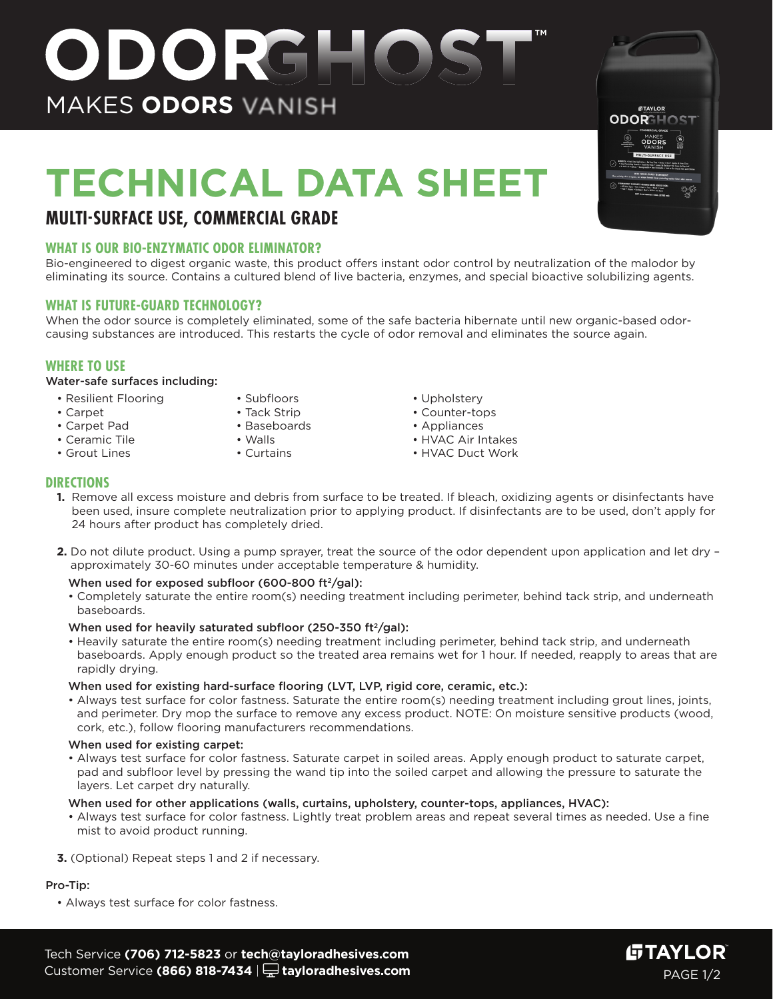# **TECHNICAL DATA SHEET**

ODORGHOS

## **MULTI-SURFACE USE, COMMERCIAL GRADE**

MAKES **ODORS**

## **WHAT IS OUR BIO-ENZYMATIC ODOR ELIMINATOR?**

Bio-engineered to digest organic waste, this product offers instant odor control by neutralization of the malodor by eliminating its source. Contains a cultured blend of live bacteria, enzymes, and special bioactive solubilizing agents.

## **WHAT IS FUTURE-GUARD TECHNOLOGY?**

When the odor source is completely eliminated, some of the safe bacteria hibernate until new organic-based odorcausing substances are introduced. This restarts the cycle of odor removal and eliminates the source again.

## **WHERE TO USE**

#### Water-safe surfaces including:

- Resilient Flooring • Subfloors
- Carpet • Carpet Pad
- Tack Strip
- Baseboards
- 
- Ceramic Tile • Grout Lines
- Walls
- Curtains
- Upholstery
- Counter-tops
- Appliances
- HVAC Air Intakes
- HVAC Duct Work

#### **DIRECTIONS**

- **1.** Remove all excess moisture and debris from surface to be treated. If bleach, oxidizing agents or disinfectants have been used, insure complete neutralization prior to applying product. If disinfectants are to be used, don't apply for 24 hours after product has completely dried.
- **2.** Do not dilute product. Using a pump sprayer, treat the source of the odor dependent upon application and let dry approximately 30-60 minutes under acceptable temperature & humidity.

#### When used for exposed subfloor (600-800 ft $\frac{2}{9}$ dl):

• Completely saturate the entire room(s) needing treatment including perimeter, behind tack strip, and underneath baseboards.

#### When used for heavily saturated subfloor (250-350 ft $\frac{2}{9}$ al):

• Heavily saturate the entire room(s) needing treatment including perimeter, behind tack strip, and underneath baseboards. Apply enough product so the treated area remains wet for 1 hour. If needed, reapply to areas that are rapidly drying.

#### When used for existing hard-surface flooring (LVT, LVP, rigid core, ceramic, etc.):

• Always test surface for color fastness. Saturate the entire room(s) needing treatment including grout lines, joints, and perimeter. Dry mop the surface to remove any excess product. NOTE: On moisture sensitive products (wood, cork, etc.), follow flooring manufacturers recommendations.

#### When used for existing carpet:

• Always test surface for color fastness. Saturate carpet in soiled areas. Apply enough product to saturate carpet, pad and subfloor level by pressing the wand tip into the soiled carpet and allowing the pressure to saturate the layers. Let carpet dry naturally.

#### When used for other applications (walls, curtains, upholstery, counter-tops, appliances, HVAC):

- Always test surface for color fastness. Lightly treat problem areas and repeat several times as needed. Use a fine mist to avoid product running.
- **3.** (Optional) Repeat steps 1 and 2 if necessary.

## Pro-Tip:

• Always test surface for color fastness.

Tech Service **(706) 712-5823** or **tech@tayloradhesives.com** Customer Service (866) 818-7434 |  $\frac{1}{2}$  tayloradhesives.com **PAGE 1/2** PAGE 1/2